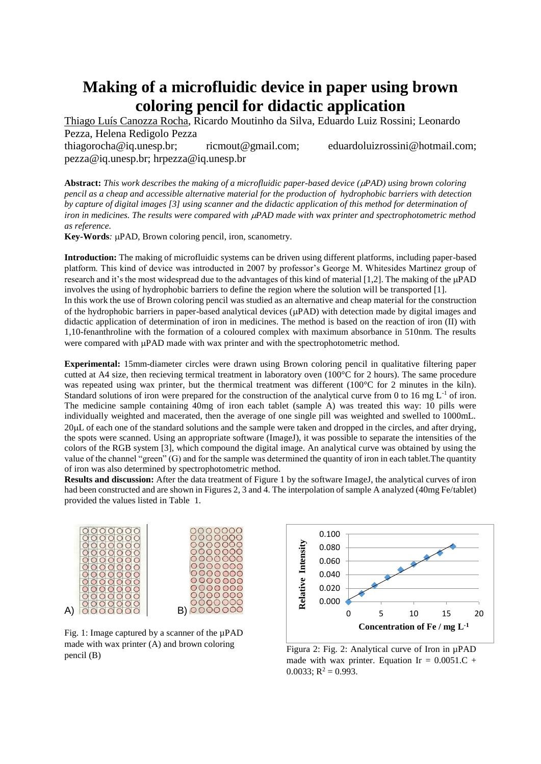## **Making of a microfluidic device in paper using brown coloring pencil for didactic application**

Thiago Luís Canozza Rocha, Ricardo Moutinho da Silva, Eduardo Luiz Rossini; Leonardo Pezza, Helena Redigolo Pezza thiagorocha@iq.unesp.br; ricmout@gmail.com; eduardoluizrossini@hotmail.com; pezza@iq.unesp.br; hrpezza@iq.unesp.br

**Abstract:** *This work describes the making of a microfluidic paper-based device (PAD) using brown coloring pencil as a cheap and accessible alternative material for the production of hydrophobic barriers with detection by capture of digital images [3] using scanner and the didactic application of this method for determination of iron in medicines. The results were compared with PAD made with wax printer and spectrophotometric method as reference.*

**Key-Words**: uPAD, Brown coloring pencil, iron, scanometry.

**Introduction:** The making of microfluidic systems can be driven using different platforms, including paper-based platform. This kind of device was introducted in 2007 by professor's George M. Whitesides Martinez group of research and it's the most widespread due to the advantages of this kind of material  $[1,2]$ . The making of the  $\mu$ PAD involves the using of hydrophobic barriers to define the region where the solution will be transported [1].

In this work the use of Brown coloring pencil was studied as an alternative and cheap material for the construction of the hydrophobic barriers in paper-based analytical devices  $(\mu)$ PAD) with detection made by digital images and didactic application of determination of iron in medicines. The method is based on the reaction of iron (II) with 1,10-fenanthroline with the formation of a coloured complex with maximum absorbance in 510nm. The results were compared with  $\mu$ PAD made with wax printer and with the spectrophotometric method.

**Experimental:** 15mm-diameter circles were drawn using Brown coloring pencil in qualitative filtering paper cutted at A4 size, then recieving termical treatment in laboratory oven (100°C for 2 hours). The same procedure was repeated using wax printer, but the thermical treatment was different (100°C for 2 minutes in the kiln). Standard solutions of iron were prepared for the construction of the analytical curve from 0 to 16 mg  $L^{-1}$  of iron. The medicine sample containing 40mg of iron each tablet (sample A) was treated this way: 10 pills were individually weighted and macerated, then the average of one single pill was weighted and swelled to 1000mL. 20L of each one of the standard solutions and the sample were taken and dropped in the circles, and after drying, the spots were scanned. Using an appropriate software (ImageJ), it was possible to separate the intensities of the colors of the RGB system [3], which compound the digital image. An analytical curve was obtained by using the value of the channel "green" (G) and for the sample was determined the quantity of iron in each tablet.The quantity of iron was also determined by spectrophotometric method.

**Results and discussion:** After the data treatment of Figure 1 by the software ImageJ, the analytical curves of iron had been constructed and are shown in Figures 2, 3 and 4. The interpolation of sample A analyzed (40mg Fe/tablet) provided the values listed in Table 1.



Fig. 1: Image captured by a scanner of the  $\mu$ PAD made with wax printer (A) and brown coloring pencil (B)



Figura 2: Fig. 2: Analytical curve of Iron in µPAD made with wax printer. Equation Ir =  $0.0051.C$  +  $0.0033$ ; R<sup>2</sup> = 0.993.